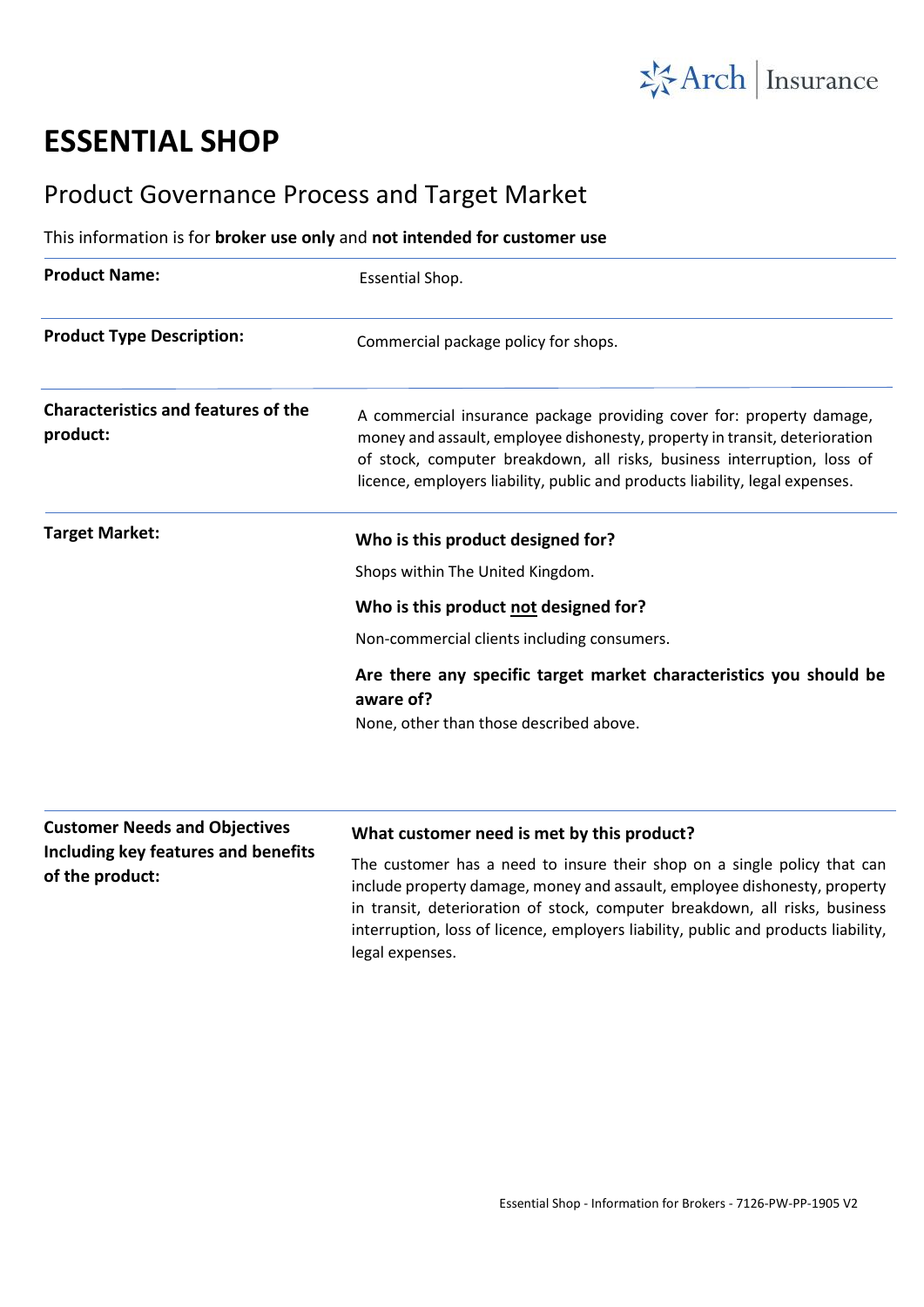

## **ESSENTIAL SHOP**

**Including key features and benefits** 

**of the product:**

## Product Governance Process and Target Market

## This information is for **broker use only** and **not intended for customer use**

| <b>Essential Shop.</b>                                                                                                                                                                                                                                                                                        |
|---------------------------------------------------------------------------------------------------------------------------------------------------------------------------------------------------------------------------------------------------------------------------------------------------------------|
| Commercial package policy for shops.                                                                                                                                                                                                                                                                          |
| A commercial insurance package providing cover for: property damage,<br>money and assault, employee dishonesty, property in transit, deterioration<br>of stock, computer breakdown, all risks, business interruption, loss of<br>licence, employers liability, public and products liability, legal expenses. |
| Who is this product designed for?                                                                                                                                                                                                                                                                             |
| Shops within The United Kingdom.                                                                                                                                                                                                                                                                              |
| Who is this product not designed for?                                                                                                                                                                                                                                                                         |
| Non-commercial clients including consumers.                                                                                                                                                                                                                                                                   |
| Are there any specific target market characteristics you should be<br>aware of?                                                                                                                                                                                                                               |
| None, other than those described above.                                                                                                                                                                                                                                                                       |
| What customer need is met by this product?                                                                                                                                                                                                                                                                    |
|                                                                                                                                                                                                                                                                                                               |

The customer has a need to insure their shop on a single policy that can include property damage, money and assault, employee dishonesty, property in transit, deterioration of stock, computer breakdown, all risks, business interruption, loss of licence, employers liability, public and products liability, legal expenses.